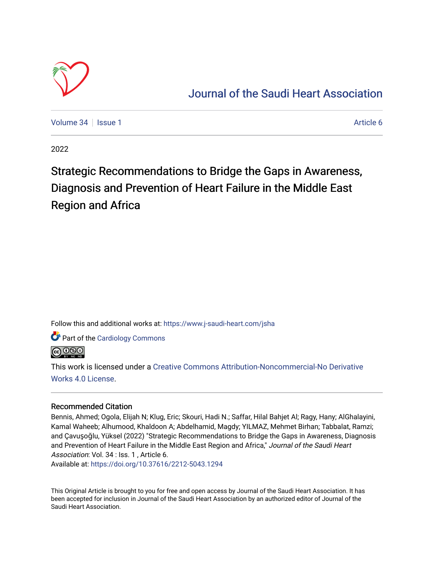

## [Journal of the Saudi Heart Association](https://www.j-saudi-heart.com/jsha)

[Volume 34](https://www.j-saudi-heart.com/jsha/vol34) | [Issue 1](https://www.j-saudi-heart.com/jsha/vol34/iss1) Article 6

2022

## Strategic Recommendations to Bridge the Gaps in Awareness, Diagnosis and Prevention of Heart Failure in the Middle East Region and Africa

Follow this and additional works at: [https://www.j-saudi-heart.com/jsha](https://www.j-saudi-heart.com/jsha?utm_source=www.j-saudi-heart.com%2Fjsha%2Fvol34%2Fiss1%2F6&utm_medium=PDF&utm_campaign=PDFCoverPages) 

Part of the [Cardiology Commons](http://network.bepress.com/hgg/discipline/683?utm_source=www.j-saudi-heart.com%2Fjsha%2Fvol34%2Fiss1%2F6&utm_medium=PDF&utm_campaign=PDFCoverPages)



This work is licensed under a [Creative Commons Attribution-Noncommercial-No Derivative](http://creativecommons.org/licenses/by-nc-nd/4.0/)  [Works 4.0 License](http://creativecommons.org/licenses/by-nc-nd/4.0/).

## Recommended Citation

Bennis, Ahmed; Ogola, Elijah N; Klug, Eric; Skouri, Hadi N.; Saffar, Hilal Bahjet Al; Ragy, Hany; AlGhalayini, Kamal Waheeb; Alhumood, Khaldoon A; Abdelhamid, Magdy; YILMAZ, Mehmet Birhan; Tabbalat, Ramzi; and Çavuşoğlu, Yüksel (2022) "Strategic Recommendations to Bridge the Gaps in Awareness, Diagnosis and Prevention of Heart Failure in the Middle East Region and Africa," Journal of the Saudi Heart Association: Vol. 34 : Iss. 1, Article 6.

Available at:<https://doi.org/10.37616/2212-5043.1294>

This Original Article is brought to you for free and open access by Journal of the Saudi Heart Association. It has been accepted for inclusion in Journal of the Saudi Heart Association by an authorized editor of Journal of the Saudi Heart Association.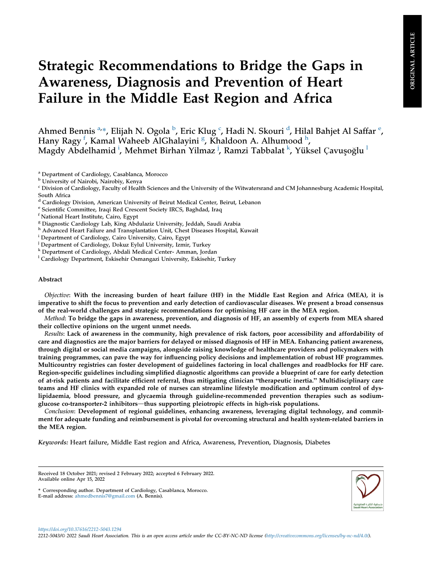# Strategic Recommendations to Bridge the Gaps in Awareness, Diagnosis and Prevention of Heart Failure in the Middle East Region and Africa

Ahmed Bennis <sup>[a,](#page-1-0)</sup>\*, Elijah N. Ogola <sup>[b](#page-1-1)</sup>, Eri[c](#page-1-2) Klug <sup>c</sup>, Ha[d](#page-1-3)i N. Skouri <sup>d</sup>, Hilal Bahj[e](#page-1-4)t Al Saffar <sup>e</sup>, Hany Ragy <sup>[f](#page-1-5)</sup>, Kamal Waheeb AlGhalayini <sup>[g](#page-1-6)</sup>, K[h](#page-1-7)aldoon A. Alhumood <sup>h</sup>, Magdy Abdelham[i](#page-1-8)d <sup>i</sup>, Mehmet Birhan Yilmaz <sup>[j](#page-1-9)</sup>, Ramzi Tabbalat <sup>[k](#page-1-10)</sup>, Yükse[l](#page-1-11) Çavuşoğlu <sup>l</sup>

<span id="page-1-0"></span><sup>a</sup> Department of Cardiology, Casablanca, Morocco

<span id="page-1-2"></span><sup>c</sup> Division of Cardiology, Faculty of Health Sciences and the University of the Witwatersrand and CM Johannesburg Academic Hospital, South Africa

<span id="page-1-3"></span><sup>d</sup> Cardiology Division, American University of Beirut Medical Center, Beirut, Lebanon

<span id="page-1-5"></span>

<span id="page-1-6"></span><sup>8</sup> Diagnostic Cardiology Lab, King Abdulaziz University, Jeddah, Saudi Arabia

<span id="page-1-7"></span>h Advanced Heart Failure and Transplantation Unit, Chest Diseases Hospital, Kuwait

<span id="page-1-8"></span><sup>i</sup> Department of Cardiology, Cairo University, Cairo, Egypt

<span id="page-1-9"></span><sup>j</sup> Department of Cardiology, Dokuz Eylul University, Izmir, Turkey

<span id="page-1-10"></span><sup>k</sup> Department of Cardiology, Abdali Medical Center- Amman, Jordan

<span id="page-1-11"></span><sup>1</sup> Cardiology Department, Eskisehir Osmangazi University, Eskisehir, Turkey

#### Abstract

Objective: With the increasing burden of heart failure (HF) in the Middle East Region and Africa (MEA), it is imperative to shift the focus to prevention and early detection of cardiovascular diseases. We present a broad consensus of the real-world challenges and strategic recommendations for optimising HF care in the MEA region.

Method: To bridge the gaps in awareness, prevention, and diagnosis of HF, an assembly of experts from MEA shared their collective opinions on the urgent unmet needs.

Results: Lack of awareness in the community, high prevalence of risk factors, poor accessibility and affordability of care and diagnostics are the major barriers for delayed or missed diagnosis of HF in MEA. Enhancing patient awareness, through digital or social media campaigns, alongside raising knowledge of healthcare providers and policymakers with training programmes, can pave the way for influencing policy decisions and implementation of robust HF programmes. Multicountry registries can foster development of guidelines factoring in local challenges and roadblocks for HF care. Region-specific guidelines including simplified diagnostic algorithms can provide a blueprint of care for early detection of at-risk patients and facilitate efficient referral, thus mitigating clinician "therapeutic inertia." Multidisciplinary care teams and HF clinics with expanded role of nurses can streamline lifestyle modification and optimum control of dyslipidaemia, blood pressure, and glycaemia through guideline-recommended prevention therapies such as sodiumglucose co-transporter-2 inhibitors—thus supporting pleiotropic effects in high-risk populations.

Conclusion: Development of regional guidelines, enhancing awareness, leveraging digital technology, and commitment for adequate funding and reimbursement is pivotal for overcoming structural and health system-related barriers in the MEA region.

Keywords: Heart failure, Middle East region and Africa, Awareness, Prevention, Diagnosis, Diabetes



<span id="page-1-1"></span><sup>b</sup> University of Nairobi, Nairobiy, Kenya

<span id="page-1-4"></span> $\rm^e$  Scientific Committee, Iraqi Red Crescent Society IRCS, Baghdad, Iraq $\rm^f$ National Heart Institute, Cairo, Egypt

Received 18 October 2021; revised 2 February 2022; accepted 6 February 2022. Available online Apr 15, 2022

<sup>\*</sup> Corresponding author. Department of Cardiology, Casablanca, Morocco. E-mail address: [ahmedbennis7@gmail.com](mailto:ahmedbennis7@gmail.com) (A. Bennis).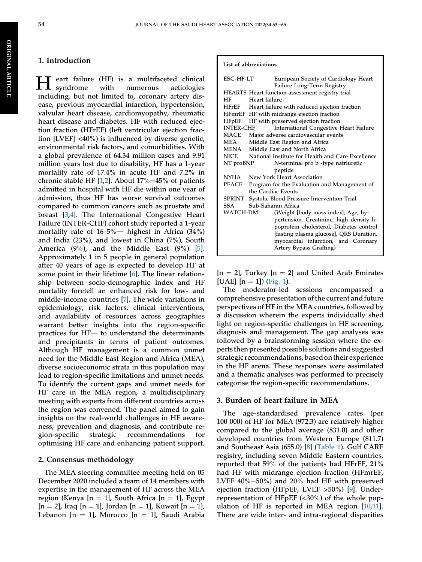## 1. Introduction

eart failure (HF) is a multifaceted clinical<br>syndrome with numerous aetiologies numerous including, but not limited to, coronary artery disease, previous myocardial infarction, hypertension, valvular heart disease, cardiomyopathy, rheumatic heart disease and diabetes. HF with reduced ejection fraction (HFrEF) (left ventricular ejection fraction [LVEF] <40%) is influenced by diverse genetic, environmental risk factors, and comorbidities. With a global prevalence of 64.34 million cases and 9.91 million years lost due to disability, HF has a 1-year mortality rate of 17.4% in acute HF and 7.2% in chronic stable HF  $[1,2]$  $[1,2]$  $[1,2]$ . About 17%-45% of patients admitted in hospital with HF die within one year of admission, thus HF has worse survival outcomes compared to common cancers such as prostate and breast [[3,](#page-10-2)[4](#page-10-3)]. The International Congestive Heart Failure (INTER-CHF) cohort study reported a 1-year mortality rate of  $16.5\%$  highest in Africa (34%) and India (23%), and lowest in China (7%), South America  $(9\%)$ , and the Middle East  $(9\%)$  [\[5](#page-11-0)]. Approximately 1 in 5 people in general population after 40 years of age is expected to develop HF at some point in their lifetime [\[6](#page-11-1)]. The linear relationship between socio-demographic index and HF mortality foretell an enhanced risk for low- and middle-income countries [[7\]](#page-11-2). The wide variations in epidemiology, risk factors, clinical interventions, and availability of resources across geographies warrant better insights into the region-specific practices for  $HF-$  to understand the determinants and precipitants in terms of patient outcomes. Although HF management is a common unmet need for the Middle East Region and Africa (MEA), diverse socioeconomic strata in this population may lead to region-specific limitations and unmet needs. To identify the current gaps and unmet needs for HF care in the MEA region, a multidisciplinary meeting with experts from different countries across the region was convened. The panel aimed to gain insights on the real-world challenges in HF awareness, prevention and diagnosis, and contribute region-specific strategic recommendations for optimising HF care and enhancing patient support.

#### 2. Consensus methodology

The MEA steering committee meeting held on 05 December 2020 included a team of 14 members with expertise in the management of HF across the MEA region (Kenya [n = 1], South Africa [n = 1], Egypt  $[n = 2]$ , Iraq  $[n = 1]$ , Jordan  $[n = 1]$ , Kuwait  $[n = 1]$ , Lebanon  $[n = 1]$ , Morocco  $[n = 1]$ , Saudi Arabia

#### List of abbreviations

| <b>ESC-HF-LT</b>                                | European Society of Cardiology Heart               |  |
|-------------------------------------------------|----------------------------------------------------|--|
|                                                 | Failure Long-Term Registry                         |  |
|                                                 | HEARTS Heart function assessment registry trial    |  |
| HF                                              | Heart failure                                      |  |
|                                                 | HFrEF Heart failure with reduced ejection fraction |  |
|                                                 | HFmrEF HF with midrange ejection fraction          |  |
| HFpEF                                           | HF with preserved ejection fraction                |  |
| <b>INTER-CHF</b>                                | <b>International Congestive Heart Failure</b>      |  |
| MACE                                            | Major adverse cardiovascular events                |  |
| <b>MEA</b>                                      | Middle East Region and Africa                      |  |
| MENA                                            | Middle East and North Africa                       |  |
| <b>NICE</b>                                     | National Institute for Health and Care Excellence  |  |
| NT proBNP<br>N-terminal pro b -type natriuretic |                                                    |  |
|                                                 | peptide                                            |  |
| <b>NYHA</b>                                     | New York Heart Association                         |  |
| PEACE                                           | Program for the Evaluation and Management of       |  |
|                                                 | the Cardiac Events                                 |  |
|                                                 | SPRINT Systolic Blood Pressure Intervention Trial  |  |
| SSA                                             | Sub-Saharan Africa                                 |  |
| WATCH-DM                                        | (Weight [body mass index], Age, hy-                |  |
|                                                 | pertension, Creatinine, high density li-           |  |
|                                                 | poprotein cholesterol, Diabetes control            |  |
|                                                 | [fasting plasma glucose], QRS Duration,            |  |
|                                                 | myocardial infarction, and Coronary                |  |
|                                                 | Artery Bypass Grafting)                            |  |
|                                                 |                                                    |  |

 $[n = 2]$ , Turkey  $[n = 2]$  and United Arab Emirates [UAE]  $[n = 1]$ ) [\(Fig. 1\)](#page-3-0).

The moderator-led sessions encompassed a comprehensive presentation of the current and future perspectives of HF in the MEA countries, followed by a discussion wherein the experts individually shed light on region-specific challenges in HF screening, diagnosis and management. The gap analyses was followed by a brainstorming session where the experts then presented possible solutions and suggested strategic recommendations, based on their experience in the HF arena. These responses were assimilated and a thematic analyses was performed to precisely categorise the region-specific recommendations.

#### 3. Burden of heart failure in MEA

The age-standardised prevalence rates (per 100 000) of HF for MEA (972.3) are relatively higher compared to the global average (831.0) and other developed countries from Western Europe (811.7) and Southeast Asia (655.0) [[8\]](#page-11-3) ([Table 1\)](#page-3-1). Gulf CARE registry, including seven Middle Eastern countries, reported that 59% of the patients had HFrEF, 21% had HF with midrange ejection fraction (HFmrEF, LVEF  $40\% - 50\%$ ) and  $20\%$  had HF with preserved ejection fraction (HFpEF, LVEF >50%) [\[9](#page-11-4)]. Underrepresentation of HFpEF (<30%) of the whole population of HF is reported in MEA region [\[10](#page-11-5),[11\]](#page-11-6). There are wide inter- and intra-regional disparities

ORIGINAL

**ORIGINAL ARTICLE** 

ARTICLE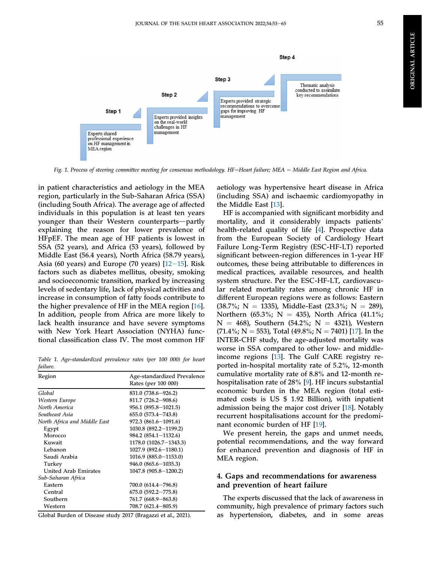

<span id="page-3-0"></span>

Fig. 1. Process of steering committee meeting for consensus methodology. HF=Heart failure; MEA = Middle East Region and Africa.

in patient characteristics and aetiology in the MEA region, particularly in the Sub-Saharan Africa (SSA) (including South Africa). The average age of affected individuals in this population is at least ten years younger than their Western counterparts-partly explaining the reason for lower prevalence of HFpEF. The mean age of HF patients is lowest in SSA (52 years), and Africa (53 years), followed by Middle East (56.4 years), North Africa (58.79 years), Asia (60 years) and Europe (70 years)  $[12-15]$  $[12-15]$  $[12-15]$  $[12-15]$  $[12-15]$ . Risk factors such as diabetes mellitus, obesity, smoking and socioeconomic transition, marked by increasing levels of sedentary life, lack of physical activities and increase in consumption of fatty foods contribute to the higher prevalence of HF in the MEA region [\[16](#page-11-8)]. In addition, people from Africa are more likely to lack health insurance and have severe symptoms with New York Heart Association (NYHA) functional classification class IV. The most common HF

<span id="page-3-1"></span>Table 1. Age-standardized prevalence rates (per 100 000) for heart failure.

| Region                       | Age-standardized Prevalence<br>Rates (per 100 000) |
|------------------------------|----------------------------------------------------|
| Global                       | 831.0 (738.6–926.2)                                |
| Western Europe               | $811.7(726.2 - 908.6)$                             |
| North America                | $956.1 (895.8 - 1021.5)$                           |
| Southeast Asia               | $655.0(573.4 - 743.8)$                             |
| North Africa and Middle East | 972.3 (861.6-1091.6)                               |
| Egypt                        | 1030.8 (892.2-1199.2)                              |
| Morocco                      | $984.2 (854.1 - 1132.6)$                           |
| Kuwait                       | 1178.0 (1026.7-1343.3)                             |
| Lebanon                      | 1027.9 (892.6-1180.1)                              |
| Saudi Arabia                 | $1016.9(885.0-1153.0)$                             |
| Turkey                       | $946.0 (865.6 - 1035.3)$                           |
| <b>United Arab Emirates</b>  | 1047.8 (905.8-1200.2)                              |
| Sub-Saharan Africa           |                                                    |
| Eastern                      | 700.0 (614.4-796.8)                                |
| Central                      | $675.0(592.2 - 775.8)$                             |
| Southern                     | 761.7 (668.9–863.8)                                |
| Western                      | 708.7 (621.4-805.9)                                |
|                              |                                                    |

Global Burden of Disease study 2017 (Bragazzi et al., 2021).

aetiology was hypertensive heart disease in Africa (including SSA) and ischaemic cardiomyopathy in the Middle East [\[13](#page-11-9)].

HF is accompanied with significant morbidity and mortality, and it considerably impacts patients' health-related quality of life [[4\]](#page-10-3). Prospective data from the European Society of Cardiology Heart Failure Long-Term Registry (ESC-HF-LT) reported significant between-region differences in 1-year HF outcomes, these being attributable to differences in medical practices, available resources, and health system structure. Per the ESC-HF-LT, cardiovascular related mortality rates among chronic HF in different European regions were as follows: Eastern  $(38.7\%; N = 1335)$ , Middle-East  $(23.3\%; N = 289)$ , Northern (65.3%; N = 435), North Africa (41.1%;  $N = 468$ ), Southern (54.2%; N = 4321), Western  $(71.4\%; N = 553)$ , Total  $(49.8\%; N = 7401)$  [\[17](#page-11-10)]. In the INTER-CHF study, the age-adjusted mortality was worse in SSA compared to other low- and middleincome regions [\[13](#page-11-9)]. The Gulf CARE registry reported in-hospital mortality rate of 5.2%, 12-month cumulative mortality rate of 8.8% and 12-month rehospitalisation rate of 28% [[9\]](#page-11-4). HF incurs substantial economic burden in the MEA region (total estimated costs is US \$ 1.92 Billion), with inpatient admission being the major cost driver [\[18](#page-11-11)]. Notably recurrent hospitalisations account for the predominant economic burden of HF [\[19](#page-11-12)].

We present herein, the gaps and unmet needs, potential recommendations, and the way forward for enhanced prevention and diagnosis of HF in MEA region.

## 4. Gaps and recommendations for awareness and prevention of heart failure

The experts discussed that the lack of awareness in community, high prevalence of primary factors such as hypertension, diabetes, and in some areas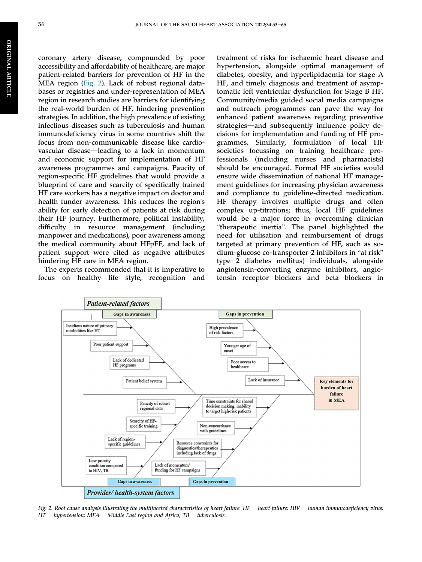coronary artery disease, compounded by poor accessibility and affordability of healthcare, are major patient-related barriers for prevention of HF in the MEA region [\(Fig. 2](#page-4-0)). Lack of robust regional databases or registries and under-representation of MEA region in research studies are barriers for identifying the real-world burden of HF, hindering prevention strategies. In addition, the high prevalence of existing infectious diseases such as tuberculosis and human immunodeficiency virus in some countries shift the focus from non-communicable disease like cardiovascular disease—leading to a lack in momentum and economic support for implementation of HF awareness programmes and campaigns. Paucity of region-specific HF guidelines that would provide a blueprint of care and scarcity of specifically trained HF care workers has a negative impact on doctor and health funder awareness. This reduces the region's ability for early detection of patients at risk during their HF journey. Furthermore, political instability, difficulty in resource management (including manpower and medications), poor awareness among the medical community about HFpEF, and lack of patient support were cited as negative attributes hindering HF care in MEA region.

The experts recommended that it is imperative to focus on healthy life style, recognition and treatment of risks for ischaemic heart disease and hypertension, alongside optimal management of diabetes, obesity, and hyperlipidaemia for stage A HF, and timely diagnosis and treatment of asymptomatic left ventricular dysfunction for Stage B HF. Community/media guided social media campaigns and outreach programmes can pave the way for enhanced patient awareness regarding preventive strategies—and subsequently influence policy decisions for implementation and funding of HF programmes. Similarly, formulation of local HF societies focussing on training healthcare professionals (including nurses and pharmacists) should be encouraged. Formal HF societies would ensure wide dissemination of national HF management guidelines for increasing physician awareness and compliance to guideline-directed medication. HF therapy involves multiple drugs and often complex up-titrations; thus, local HF guidelines "would be a major force in overcoming clinician "therapeutic inertia". The panel highlighted the need for utilisation and reimbursement of drugs targeted at primary prevention of HF, such as soneed for utilisation and reimbursement of drugs<br>targeted at primary prevention of HF, such as so-<br>dium-glucose co-transporter-2 inhibitors in "at risk" type 2 diabetes mellitus) individuals, alongside angiotensin-converting enzyme inhibitors, angiotensin receptor blockers and beta blockers in

<span id="page-4-0"></span>

Fig. 2. Root cause analysis illustrating the multifaceted characteristics of heart failure. HF = heart failure; HIV = human immunodeficiency virus;  $HT = hypertension; MEA = Middle East region and Africa; TB = tuberculosis.$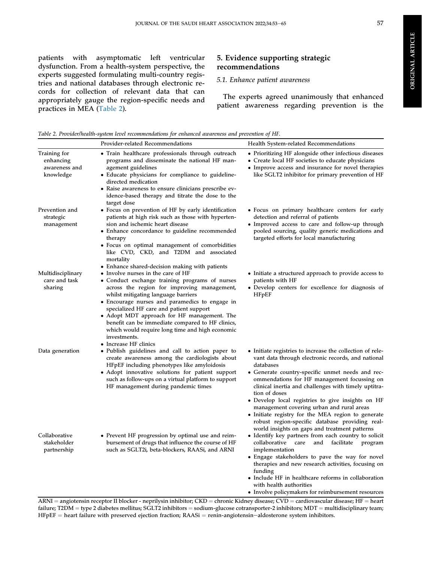**ORIGINAL ARTICLE** ORIGINAL ARTICLE

patients with asymptomatic left ventricular dysfunction. From a health-system perspective, the experts suggested formulating multi-country registries and national databases through electronic records for collection of relevant data that can appropriately gauge the region-specific needs and practices in MEA [\(Table 2\)](#page-5-0).

## 5. Evidence supporting strategic recommendations

#### 5.1. Enhance patient awareness

The experts agreed unanimously that enhanced patient awareness regarding prevention is the

<span id="page-5-0"></span>Table 2. Provider/health-system level recommendations for enhanced awareness and prevention of HF.

|                                                         | Provider-related Recommendations                                                                                                                                                                                                                                                                                                                                                                                                                                                                                         | Health System-related Recommendations                                                                                                                                                                                                                                                                                                                                                                                                                                                                                                                                |
|---------------------------------------------------------|--------------------------------------------------------------------------------------------------------------------------------------------------------------------------------------------------------------------------------------------------------------------------------------------------------------------------------------------------------------------------------------------------------------------------------------------------------------------------------------------------------------------------|----------------------------------------------------------------------------------------------------------------------------------------------------------------------------------------------------------------------------------------------------------------------------------------------------------------------------------------------------------------------------------------------------------------------------------------------------------------------------------------------------------------------------------------------------------------------|
| Training for<br>enhancing<br>awareness and<br>knowledge | • Train healthcare professionals through outreach<br>programs and disseminate the national HF man-<br>agement guidelines<br>• Educate physicians for compliance to guideline-<br>directed medication<br>• Raise awareness to ensure clinicians prescribe ev-<br>idence-based therapy and titrate the dose to the<br>target dose                                                                                                                                                                                          | • Prioritizing HF alongside other infectious diseases<br>• Create local HF societies to educate physicians<br>• Improve access and insurance for novel therapies<br>like SGLT2 inhibitor for primary prevention of HF                                                                                                                                                                                                                                                                                                                                                |
| Prevention and<br>strategic<br>management               | • Focus on prevention of HF by early identification<br>patients at high risk such as those with hyperten-<br>sion and ischemic heart disease<br>• Enhance concordance to guideline recommended<br>therapy<br>• Focus on optimal management of comorbidities<br>like CVD, CKD, and T2DM and associated<br>mortality                                                                                                                                                                                                       | • Focus on primary healthcare centers for early<br>detection and referral of patients<br>• Improved access to care and follow-up through<br>pooled sourcing, quality generic medications and<br>targeted efforts for local manufacturing                                                                                                                                                                                                                                                                                                                             |
| Multidisciplinary<br>care and task<br>sharing           | • Enhance shared-decision making with patients<br>• Involve nurses in the care of HF<br>• Conduct exchange training programs of nurses<br>across the region for improving management,<br>whilst mitigating language barriers<br>• Encourage nurses and paramedics to engage in<br>specialized HF care and patient support<br>• Adopt MDT approach for HF management. The<br>benefit can be immediate compared to HF clinics,<br>which would require long time and high economic<br>investments.<br>• Increase HF clinics | • Initiate a structured approach to provide access to<br>patients with HF<br>• Develop centers for excellence for diagnosis of<br>HFpEF                                                                                                                                                                                                                                                                                                                                                                                                                              |
| Data generation                                         | • Publish guidelines and call to action paper to<br>create awareness among the cardiologists about<br>HFpEF including phenotypes like amyloidosis<br>• Adopt innovative solutions for patient support<br>such as follow-ups on a virtual platform to support<br>HF management during pandemic times                                                                                                                                                                                                                      | • Initiate registries to increase the collection of rele-<br>vant data through electronic records, and national<br>databases<br>• Generate country-specific unmet needs and rec-<br>ommendations for HF management focussing on<br>clinical inertia and challenges with timely uptitra-<br>tion of doses<br>• Develop local registries to give insights on HF<br>management covering urban and rural areas<br>• Initiate registry for the MEA region to generate<br>robust region-specific database providing real-<br>world insights on gaps and treatment patterns |
| Collaborative<br>stakeholder<br>partnership             | • Prevent HF progression by optimal use and reim-<br>bursement of drugs that influence the course of HF<br>such as SGLT2i, beta-blockers, RAASi, and ARNI                                                                                                                                                                                                                                                                                                                                                                | • Identify key partners from each country to solicit<br>collaborative<br>care<br>and<br>facilitate<br>program<br>implementation<br>• Engage stakeholders to pave the way for novel<br>therapies and new research activities, focusing on<br>funding<br>• Include HF in healthcare reforms in collaboration<br>with health authorities<br>• Involve policymakers for reimbursement resources                                                                                                                                                                          |

 $ARNI =$  angiotensin receptor II blocker - neprilysin inhibitor;  $CKD =$  chronic Kidney disease;  $CVD =$  cardiovascular disease;  $HF =$  heart failure; T2DM = type 2 diabetes mellitus; SGLT2 inhibitors = sodium-glucose cotransporter-2 inhibitors; MDT = multidisciplinary team;  $HFPEF = heart failure with preserved ejection fraction; RASi = renin-angiotensin–aldosterone system inhibitors.$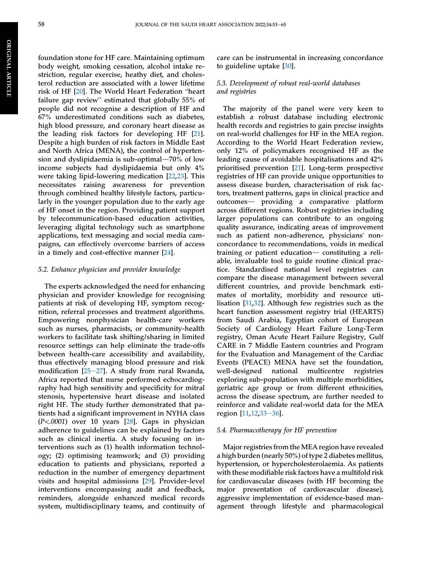foundation stone for HF care. Maintaining optimum body weight, smoking cessation, alcohol intake restriction, regular exercise, heathy diet, and cholesterol reduction are associated with a lower lifetime striction, regular exercise, neatify diet, and choies-<br>terol reduction are associated with a lower lifetime<br>risk of HF [\[20](#page-11-13)]. The World Heart Federation "heart risk of HF  $[20]$ . The World Heart Federation "heart failure gap review" estimated that globally 55% of people did not recognise a description of HF and 67% underestimated conditions such as diabetes, high blood pressure, and coronary heart disease as the leading risk factors for developing HF [\[21](#page-11-14)]. Despite a high burden of risk factors in Middle East and North Africa (MENA), the control of hypertension and dyslipidaemia is sub-optimal $-70\%$  of low income subjects had dyslipidaemia but only 4% were taking lipid-lowering medication [[22,](#page-11-15)[23](#page-11-16)]. This necessitates raising awareness for prevention through combined healthy lifestyle factors, particularly in the younger population due to the early age of HF onset in the region. Providing patient support by telecommunication-based education activities, leveraging digital technology such as smartphone applications, text messaging and social media campaigns, can effectively overcome barriers of access in a timely and cost-effective manner [\[24](#page-11-17)].

#### 5.2. Enhance physician and provider knowledge

The experts acknowledged the need for enhancing physician and provider knowledge for recognising patients at risk of developing HF, symptom recognition, referral processes and treatment algorithms. Empowering nonphysician health-care workers such as nurses, pharmacists, or community-health workers to facilitate task shifting/sharing in limited resource settings can help eliminate the trade-offs between health-care accessibility and availability, thus effectively managing blood pressure and risk modification  $[25-27]$  $[25-27]$  $[25-27]$ . A study from rural Rwanda, Africa reported that nurse performed echocardiography had high sensitivity and specificity for mitral stenosis, hypertensive heart disease and isolated right HF. The study further demonstrated that patients had a significant improvement in NYHA class (P<.0001) over 10 years [\[28](#page-11-19)]. Gaps in physician adherence to guidelines can be explained by factors such as clinical inertia. A study focusing on interventions such as (1) health information technology; (2) optimising teamwork; and (3) providing education to patients and physicians, reported a reduction in the number of emergency department visits and hospital admissions [\[29](#page-11-20)]. Provider-level interventions encompassing audit and feedback, reminders, alongside enhanced medical records system, multidisciplinary teams, and continuity of

care can be instrumental in increasing concordance to guideline uptake [[30\]](#page-11-21).

#### 5.3. Development of robust real-world databases and registries

The majority of the panel were very keen to establish a robust database including electronic health records and registries to gain precise insights on real-world challenges for HF in the MEA region. According to the World Heart Federation review, only 12% of policymakers recognised HF as the leading cause of avoidable hospitalisations and 42% prioritised prevention [\[21](#page-11-14)]. Long-term prospective registries of HF can provide unique opportunities to assess disease burden, characterisation of risk factors, treatment patterns, gaps in clinical practice and outcomes- providing a comparative platform across different regions. Robust registries including larger populations can contribute to an ongoing quality assurance, indicating areas of improvement such as patient non-adherence, physicians' nonconcordance to recommendations, voids in medical training or patient education $-$  constituting a reliable, invaluable tool to guide routine clinical practice. Standardised national level registries can compare the disease management between several different countries, and provide benchmark estimates of mortality, morbidity and resource utilisation [[31](#page-11-22)[,32](#page-11-23)]. Although few registries such as the heart function assessment registry trial (HEARTS) from Saudi Arabia, Egyptian cohort of European Society of Cardiology Heart Failure Long-Term registry, Oman Acute Heart Failure Registry, Gulf CARE in 7 Middle Eastern countries and Program for the Evaluation and Management of the Cardiac Events (PEACE) MENA have set the foundation, well-designed national multicentre registries exploring sub-population with multiple morbidities, geriatric age group or from different ethnicities, across the disease spectrum, are further needed to reinforce and validate real-world data for the MEA region [[11](#page-11-6)[,12](#page-11-7),[33](#page-11-24)-[36](#page-11-24)].

#### 5.4. Pharmacotherapy for HF prevention

Major registries from the MEA region have revealed a high burden (nearly 50%) of type 2 diabetes mellitus, hypertension, or hypercholesterolaemia. As patients with these modifiable risk factors have a multifold risk for cardiovascular diseases (with HF becoming the major presentation of cardiovascular disease), aggressive implementation of evidence-based management through lifestyle and pharmacological

ARTICLE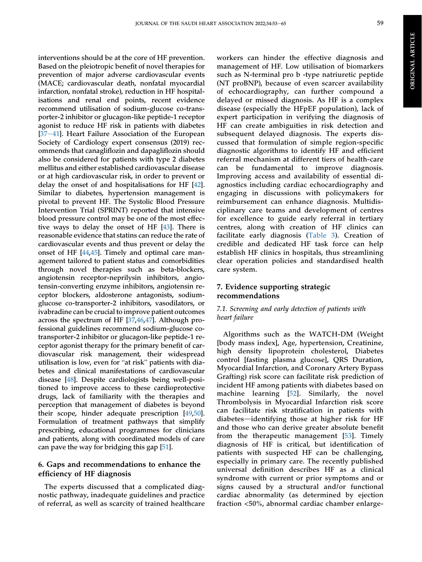interventions should be at the core of HF prevention. Based on the pleiotropic benefit of novel therapies for prevention of major adverse cardiovascular events (MACE; cardiovascular death, nonfatal myocardial infarction, nonfatal stroke), reduction in HF hospitalisations and renal end points, recent evidence recommend utilisation of sodium-glucose co-transporter-2 inhibitor or glucagon-like peptide-1 receptor agonist to reduce HF risk in patients with diabetes [\[37](#page-12-0)-[41](#page-12-0)]. Heart Failure Association of the European Society of Cardiology expert consensus (2019) recommends that canagliflozin and dapagliflozin should also be considered for patients with type 2 diabetes mellitus and either established cardiovascular disease or at high cardiovascular risk, in order to prevent or delay the onset of and hospitalisations for HF [[42\]](#page-12-1). Similar to diabetes, hypertension management is pivotal to prevent HF. The Systolic Blood Pressure Intervention Trial (SPRINT) reported that intensive blood pressure control may be one of the most effective ways to delay the onset of HF [\[43\]](#page-12-2). There is reasonable evidence that statins can reduce the rate of cardiovascular events and thus prevent or delay the onset of HF [[44,](#page-12-3)[45\]](#page-12-4). Timely and optimal care management tailored to patient status and comorbidities through novel therapies such as beta-blockers, angiotensin receptor-neprilysin inhibitors, angiotensin-converting enzyme inhibitors, angiotensin receptor blockers, aldosterone antagonists, sodiumglucose co-transporter-2 inhibitors, vasodilators, or ivabradine can be crucial to improve patient outcomes across the spectrum of HF [[37,](#page-12-0)[46](#page-12-5)[,47](#page-12-6)]. Although professional guidelines recommend sodium-glucose cotransporter-2 inhibitor or glucagon-like peptide-1 receptor agonist therapy for the primary benefit of cardiovascular risk management, their widespread ceptor agonist therapy for the primary benefit of car-<br>diovascular risk management, their widespread<br>utilisation is low, even for "at risk" patients with diabetes and clinical manifestations of cardiovascular disease [\[48](#page-12-7)]. Despite cardiologists being well-positioned to improve access to these cardioprotective drugs, lack of familiarity with the therapies and perception that management of diabetes is beyond their scope, hinder adequate prescription [\[49](#page-12-8),[50\]](#page-12-9). Formulation of treatment pathways that simplify prescribing, educational programmes for clinicians and patients, along with coordinated models of care can pave the way for bridging this gap [[51\]](#page-12-10).

## 6. Gaps and recommendations to enhance the efficiency of HF diagnosis

The experts discussed that a complicated diagnostic pathway, inadequate guidelines and practice of referral, as well as scarcity of trained healthcare workers can hinder the effective diagnosis and management of HF. Low utilisation of biomarkers such as N-terminal pro b -type natriuretic peptide (NT proBNP), because of even scarcer availability of echocardiography, can further compound a delayed or missed diagnosis. As HF is a complex disease (especially the HFpEF population), lack of expert participation in verifying the diagnosis of HF can create ambiguities in risk detection and subsequent delayed diagnosis. The experts discussed that formulation of simple region-specific diagnostic algorithms to identify HF and efficient referral mechanism at different tiers of health-care can be fundamental to improve diagnosis. Improving access and availability of essential diagnostics including cardiac echocardiography and engaging in discussions with policymakers for reimbursement can enhance diagnosis. Multidisciplinary care teams and development of centres for excellence to guide early referral in tertiary centres, along with creation of HF clinics can facilitate early diagnosis ([Table 3](#page-8-0)). Creation of credible and dedicated HF task force can help establish HF clinics in hospitals, thus streamlining clear operation policies and standardised health care system.

## 7. Evidence supporting strategic recommendations

## 7.1. Screening and early detection of patients with heart failure

Algorithms such as the WATCH-DM (Weight [body mass index], Age, hypertension, Creatinine, high density lipoprotein cholesterol, Diabetes control [fasting plasma glucose], QRS Duration, Myocardial Infarction, and Coronary Artery Bypass Grafting) risk score can facilitate risk prediction of incident HF among patients with diabetes based on machine learning [[52\]](#page-12-11). Similarly, the novel Thrombolysis in Myocardial Infarction risk score can facilitate risk stratification in patients with diabetes-identifying those at higher risk for HF and those who can derive greater absolute benefit from the therapeutic management [\[53\]](#page-12-12). Timely diagnosis of HF is critical, but identification of patients with suspected HF can be challenging, especially in primary care. The recently published universal definition describes HF as a clinical syndrome with current or prior symptoms and or signs caused by a structural and/or functional cardiac abnormality (as determined by ejection fraction <50%, abnormal cardiac chamber enlarge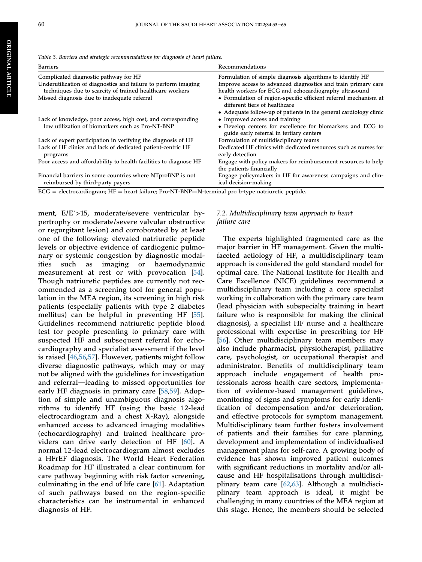ORIGINAL

**ORIGINAL ARTICLE** 

ARTICLE

<span id="page-8-0"></span>

|  |  |  | Table 3. Barriers and strategic recommendations for diagnosis of heart failure. |  |  |  |  |  |
|--|--|--|---------------------------------------------------------------------------------|--|--|--|--|--|
|--|--|--|---------------------------------------------------------------------------------|--|--|--|--|--|

| <b>Barriers</b>                                                                                | Recommendations                                                                                        |
|------------------------------------------------------------------------------------------------|--------------------------------------------------------------------------------------------------------|
| Complicated diagnostic pathway for HF                                                          | Formulation of simple diagnosis algorithms to identify HF                                              |
| Underutilization of diagnostics and failure to perform imaging                                 | Improve access to advanced diagnostics and train primary care                                          |
| techniques due to scarcity of trained healthcare workers                                       | health workers for ECG and echocardiography ultrasound                                                 |
| Missed diagnosis due to inadequate referral                                                    | • Formulation of region-specific efficient referral mechanism at<br>different tiers of healthcare      |
|                                                                                                | • Adequate follow-up of patients in the general cardiology clinic                                      |
| Lack of knowledge, poor access, high cost, and corresponding                                   | • Improved access and training                                                                         |
| low utilization of biomarkers such as Pro-NT-BNP                                               | • Develop centers for excellence for biomarkers and ECG to<br>guide early referral in tertiary centers |
| Lack of expert participation in verifying the diagnosis of HF                                  | Formulation of multidisciplinary teams                                                                 |
| Lack of HF clinics and lack of dedicated patient-centric HF<br>programs                        | Dedicated HF clinics with dedicated resources such as nurses for<br>early detection                    |
| Poor access and affordability to health facilities to diagnose HF                              | Engage with policy makers for reimbursement resources to help<br>the patients financially              |
| Financial barriers in some countries where NTproBNP is not<br>reimbursed by third-party payers | Engage policymakers in HF for awareness campaigns and clin-<br>ical decision-making                    |

 $ECG = electrocardiogram; HF = heart failure; Pro-NT-BNP=N-terminal pro b-type natriuretic peptide.$ 

ment, E/E'>15, moderate/severe ventricular hypertrophy or moderate/severe valvular obstructive or regurgitant lesion) and corroborated by at least one of the following: elevated natriuretic peptide levels or objective evidence of cardiogenic pulmonary or systemic congestion by diagnostic modalities such as imaging or haemodynamic measurement at rest or with provocation [\[54](#page-12-13)]. Though natriuretic peptides are currently not recommended as a screening tool for general population in the MEA region, its screening in high risk patients (especially patients with type 2 diabetes mellitus) can be helpful in preventing HF [\[55](#page-12-14)]. Guidelines recommend natriuretic peptide blood test for people presenting to primary care with suspected HF and subsequent referral for echocardiography and specialist assessment if the level is raised [[46,](#page-12-5)[56,](#page-12-15)[57](#page-12-16)]. However, patients might follow diverse diagnostic pathways, which may or may not be aligned with the guidelines for investigation and referral-leading to missed opportunities for early HF diagnosis in primary care [[58](#page-13-0),[59\]](#page-13-1). Adoption of simple and unambiguous diagnosis algorithms to identify HF (using the basic 12-lead electrocardiogram and a chest X-Ray), alongside enhanced access to advanced imaging modalities (echocardiography) and trained healthcare providers can drive early detection of HF [\[60](#page-13-2)]. A normal 12-lead electrocardiogram almost excludes a HFrEF diagnosis. The World Heart Federation Roadmap for HF illustrated a clear continuum for care pathway beginning with risk factor screening, culminating in the end of life care [\[61\]](#page-13-3). Adaptation of such pathways based on the region-specific characteristics can be instrumental in enhanced diagnosis of HF.

#### 7.2. Multidisciplinary team approach to heart failure care

The experts highlighted fragmented care as the major barrier in HF management. Given the multifaceted aetiology of HF, a multidisciplinary team approach is considered the gold standard model for optimal care. The National Institute for Health and Care Excellence (NICE) guidelines recommend a multidisciplinary team including a core specialist working in collaboration with the primary care team (lead physician with subspecialty training in heart failure who is responsible for making the clinical diagnosis), a specialist HF nurse and a healthcare professional with expertise in prescribing for HF [\[56](#page-12-15)]. Other multidisciplinary team members may also include pharmacist, physiotherapist, palliative care, psychologist, or occupational therapist and administrator. Benefits of multidisciplinary team approach include engagement of health professionals across health care sectors, implementation of evidence-based management guidelines, monitoring of signs and symptoms for early identification of decompensation and/or deterioration, and effective protocols for symptom management. Multidisciplinary team further fosters involvement of patients and their families for care planning, development and implementation of individualised management plans for self-care. A growing body of evidence has shown improved patient outcomes with significant reductions in mortality and/or allcause and HF hospitalisations through multidisciplinary team care [[62](#page-13-4)[,63](#page-13-5)]. Although a multidisciplinary team approach is ideal, it might be challenging in many countries of the MEA region at this stage. Hence, the members should be selected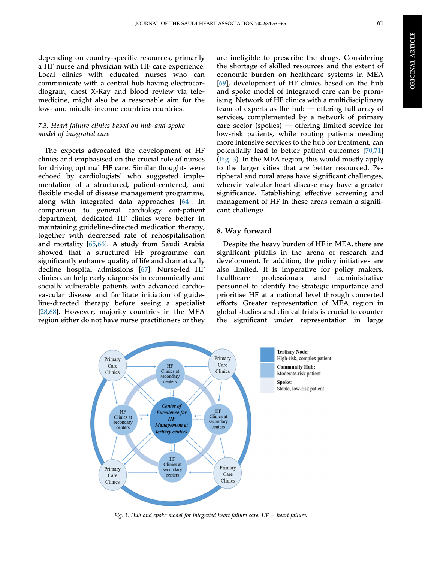**ORIGINAL ARTICLE** ORIGINAL ARTICLE

depending on country-specific resources, primarily a HF nurse and physician with HF care experience. Local clinics with educated nurses who can communicate with a central hub having electrocardiogram, chest X-Ray and blood review via telemedicine, might also be a reasonable aim for the low- and middle-income countries countries.

## 7.3. Heart failure clinics based on hub-and-spoke model of integrated care

The experts advocated the development of HF clinics and emphasised on the crucial role of nurses for driving optimal HF care. Similar thoughts were echoed by cardiologists' who suggested implementation of a structured, patient-centered, and flexible model of disease management programme, along with integrated data approaches [[64\]](#page-13-6). In comparison to general cardiology out-patient department, dedicated HF clinics were better in maintaining guideline-directed medication therapy, together with decreased rate of rehospitalisation and mortality [\[65](#page-13-7),[66\]](#page-13-8). A study from Saudi Arabia showed that a structured HF programme can significantly enhance quality of life and dramatically decline hospital admissions [[67\]](#page-13-9). Nurse-led HF clinics can help early diagnosis in economically and socially vulnerable patients with advanced cardiovascular disease and facilitate initiation of guideline-directed therapy before seeing a specialist [\[28](#page-11-19),[68\]](#page-13-10). However, majority countries in the MEA region either do not have nurse practitioners or they

are ineligible to prescribe the drugs. Considering the shortage of skilled resources and the extent of economic burden on healthcare systems in MEA [\[69](#page-13-11)], development of HF clinics based on the hub and spoke model of integrated care can be promising. Network of HF clinics with a multidisciplinary team of experts as the hub  $-$  offering full array of services, complemented by a network of primary care sector (spokes)  $-$  offering limited service for low-risk patients, while routing patients needing more intensive services to the hub for treatment, can potentially lead to better patient outcomes [[70,](#page-13-12)[71](#page-13-13)] [\(Fig. 3\)](#page-9-0). In the MEA region, this would mostly apply to the larger cities that are better resourced. Peripheral and rural areas have significant challenges, wherein valvular heart disease may have a greater significance. Establishing effective screening and management of HF in these areas remain a significant challenge.

## 8. Way forward

Despite the heavy burden of HF in MEA, there are significant pitfalls in the arena of research and development. In addition, the policy initiatives are also limited. It is imperative for policy makers, healthcare professionals and administrative personnel to identify the strategic importance and prioritise HF at a national level through concerted efforts. Greater representation of MEA region in global studies and clinical trials is crucial to counter the significant under representation in large

<span id="page-9-0"></span>

Fig. 3. Hub and spoke model for integrated heart failure care.  $HF =$  heart failure.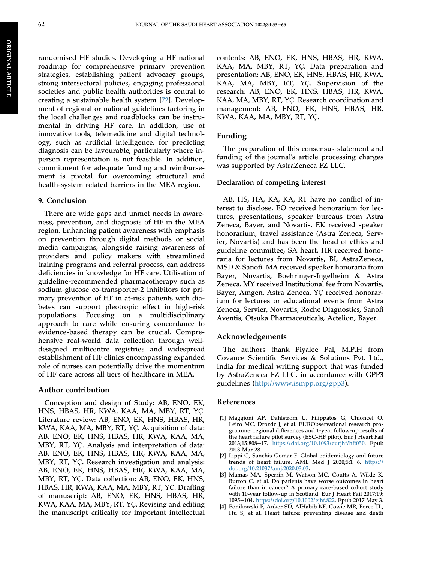ORIGINAL

**ORIGINAL ARTICLE** 

ARTICLE

randomised HF studies. Developing a HF national roadmap for comprehensive primary prevention strategies, establishing patient advocacy groups, strong intersectoral policies, engaging professional societies and public health authorities is central to creating a sustainable health system [[72\]](#page-13-14). Development of regional or national guidelines factoring in the local challenges and roadblocks can be instrumental in driving HF care. In addition, use of innovative tools, telemedicine and digital technology, such as artificial intelligence, for predicting diagnosis can be favourable, particularly where inperson representation is not feasible. In addition, commitment for adequate funding and reimbursement is pivotal for overcoming structural and health-system related barriers in the MEA region.

#### 9. Conclusion

There are wide gaps and unmet needs in awareness, prevention, and diagnosis of HF in the MEA region. Enhancing patient awareness with emphasis on prevention through digital methods or social media campaigns, alongside raising awareness of providers and policy makers with streamlined training programs and referral process, can address deficiencies in knowledge for HF care. Utilisation of guideline-recommended pharmacotherapy such as sodium-glucose co-transporter-2 inhibitors for primary prevention of HF in at-risk patients with diabetes can support pleotropic effect in high-risk populations. Focusing on a multidisciplinary approach to care while ensuring concordance to evidence-based therapy can be crucial. Comprehensive real-world data collection through welldesigned multicentre registries and widespread establishment of HF clinics encompassing expanded role of nurses can potentially drive the momentum of HF care across all tiers of healthcare in MEA.

## Author contribution

Conception and design of Study: AB, ENO, EK, HNS, HBAS, HR, KWA, KAA, MA, MBY, RT, YÇ. Literature review: AB, ENO, EK, HNS, HBAS, HR, KWA, KAA, MA, MBY, RT, YÇ. Acquisition of data: AB, ENO, EK, HNS, HBAS, HR, KWA, KAA, MA, MBY, RT, YÇ. Analysis and interpretation of data: AB, ENO, EK, HNS, HBAS, HR, KWA, KAA, MA, MBY, RT, YÇ. Research investigation and analysis: AB, ENO, EK, HNS, HBAS, HR, KWA, KAA, MA, MBY, RT, YÇ. Data collection: AB, ENO, EK, HNS, HBAS, HR, KWA, KAA, MA, MBY, RT, YÇ. Drafting of manuscript: AB, ENO, EK, HNS, HBAS, HR, KWA, KAA, MA, MBY, RT, YÇ. Revising and editing the manuscript critically for important intellectual

contents: AB, ENO, EK, HNS, HBAS, HR, KWA, KAA, MA, MBY, RT, YÇ. Data preparation and presentation: AB, ENO, EK, HNS, HBAS, HR, KWA, KAA, MA, MBY, RT, YÇ. Supervision of the research: AB, ENO, EK, HNS, HBAS, HR, KWA, KAA, MA, MBY, RT, YÇ. Research coordination and management: AB, ENO, EK, HNS, HBAS, HR, KWA, KAA, MA, MBY, RT, YÇ.

## Funding

The preparation of this consensus statement and funding of the journal's article processing charges was supported by AstraZeneca FZ LLC.

#### Declaration of competing interest

AB, HS, HA, KA, KA, RT have no conflict of interest to disclose. EO received honorarium for lectures, presentations, speaker bureaus from Astra Zeneca, Bayer, and Novartis. EK received speaker honorarium, travel assistance (Astra Zeneca, Servier, Novartis) and has been the head of ethics and guideline committee, SA heart. HR received honoraria for lectures from Novartis, BI, AstraZeneca, MSD & Sanofi. MA received speaker honoraria from Bayer, Novartis, Boehringer-Ingelheim & Astra Zeneca. MY received Institutional fee from Novartis, Bayer, Amgen, Astra Zeneca. YÇ received honorarium for lectures or educational events from Astra Zeneca, Servier, Novartis, Roche Diagnostics, Sanofi Aventis, Otsuka Pharmaceuticals, Actelion, Bayer.

#### Acknowledgements

The authors thank Piyalee Pal, M.P.H from Covance Scientific Services & Solutions Pvt. Ltd., India for medical writing support that was funded by AstraZeneca FZ LLC. in accordance with GPP3 guidelines ([http://www.ismpp.org/gpp3\)](http://www.ismpp.org/gpp3).

#### References

- <span id="page-10-0"></span>[1] Maggioni AP, Dahlström U, Filippatos G, Chioncel O, Leiro MC, Drozdz J, et al. EURObservational research programme: regional differences and 1-year follow-up results of the heart failure pilot survey (ESC-HF pilot). Eur J Heart Fail 2013;15:808-17. [https://doi.org/10.1093/eurjhf/hft050.](https://doi.org/10.1093/eurjhf/hft050) Epub 2013 Mar 28.
- <span id="page-10-1"></span>[2] Lippi G, Sanchis-Gomar F. Global epidemiology and future trends of heart failure. AME Med J 2020;5:1-6. [https://](https://doi.org/10.21037/amj.2020.03.03) [doi.org/10.21037/amj.2020.03.03.](https://doi.org/10.21037/amj.2020.03.03)
- <span id="page-10-2"></span>[3] Mamas MA, Sperrin M, Watson MC, Coutts A, Wilde K, Burton C, et al. Do patients have worse outcomes in heart failure than in cancer? A primary care-based cohort study with 10-year follow-up in Scotland. Eur J Heart Fail 2017;19: 1095-104. [https://doi.org/10.1002/ejhf.822.](https://doi.org/10.1002/ejhf.822) Epub 2017 May 3.
- <span id="page-10-3"></span>[4] Ponikowski P, Anker SD, AlHabib KF, Cowie MR, Force TL, Hu S, et al. Heart failure: preventing disease and death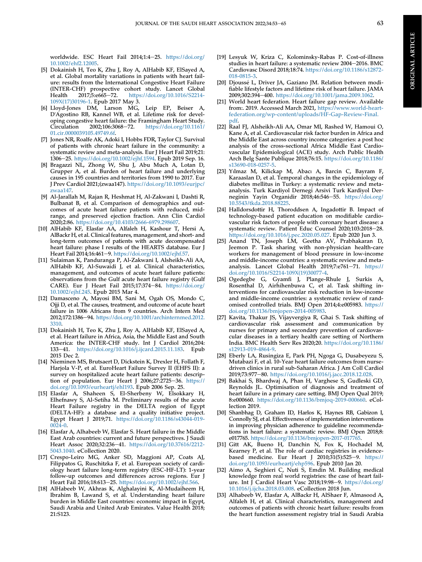worldwide. ESC Heart Fail 2014;1:4-25. [https://doi.org/](https://doi.org/10.1002/ehf2.12005) [10.1002/ehf2.12005](https://doi.org/10.1002/ehf2.12005).

- <span id="page-11-0"></span>[5] Dokainish H, Teo K, Zhu J, Roy A, AlHabib KF, ElSayed A, et al. Global mortality variations in patients with heart failure: results from the International Congestive Heart Failure (INTER-CHF) prospective cohort study. Lancet Global<br>Health 2017;5:e665-72. https://doi.org/10.1016/S2214[https://doi.org/10.1016/S2214-](https://doi.org/10.1016/S2214-109X(17)30196-1) [109X\(17\)30196-1](https://doi.org/10.1016/S2214-109X(17)30196-1). Epub 2017 May 3.
- <span id="page-11-1"></span>[6] Lloyd-Jones DM, Larson MG, Leip EP, Beiser A, D'Agostino RB, Kannel WB, et al. Lifetime risk for developing congestive heart failure: the Framingham Heart Study.<br>Circulation 2002;106:3068-72. https://doi.org/10.1161/ [https://doi.org/10.1161/](https://doi.org/10.1161/01.cir.0000039105.49749.6f) [01.cir.0000039105.49749.6f](https://doi.org/10.1161/01.cir.0000039105.49749.6f).
- <span id="page-11-2"></span>[7] Jones NR, Roalfe AK, Adoki I, Hobbs FDR, Taylor CJ. Survival of patients with chronic heart failure in the community: a systematic review and meta-analysis. Eur J Heart Fail 2019;21: 1306-25. <https://doi.org/10.1002/ejhf.1594>. Epub 2019 Sep. 16.
- <span id="page-11-3"></span>[8] Bragazzi NL, Zhong W, Shu J, Abu Much A, Lotan D, Grupper A, et al. Burden of heart failure and underlying causes in 195 countries and territories from 1990 to 2017. Eur J Prev Cardiol 2021;(zwaa147). [https://doi.org/10.1093/eurjpc/](https://doi.org/10.1093/eurjpc/zwaa147) [zwaa147](https://doi.org/10.1093/eurjpc/zwaa147).
- <span id="page-11-4"></span>[9] Al-Jarallah M, Rajan R, Heshmat H, Al-Zakwani I, Dashti R, Bulbanat B, et al. Comparison of demographics and outcomes of acute heart failure patients with reduced, midrange, and preserved ejection fraction. Ann Clin Cardiol 2020;2:86. [https://doi.org/10.4103/2666-6979.298607.](https://doi.org/10.4103/2666-6979.298607)
- <span id="page-11-5"></span>[10] AlHabib KF, Elasfar AA, Alfaleh H, Kashour T, Hersi A, AlBackr H, et al. Clinical features, management, and short- and long-term outcomes of patients with acute decompensated heart failure: phase I results of the HEARTS database. Eur J Heart Fail 2014;16:461-9. <https://doi.org/10.1002/ejhf.57>.
- <span id="page-11-6"></span>[11] Sulaiman K, Panduranga P, Al-Zakwani I, Alsheikh-Ali AA, AlHabib KF, Al-Suwaidi J, et al. Clinical characteristics, management, and outcomes of acute heart failure patients: observations from the Gulf acute heart failure registry (Gulf CARE). Eur J Heart Fail 2015;17:374-84. [https://doi.org/](https://doi.org/10.1002/ejhf.245) [10.1002/ejhf.245](https://doi.org/10.1002/ejhf.245). Epub 2015 Mar 4.
- <span id="page-11-7"></span>[12] Damasceno A, Mayosi BM, Sani M, Ogah OS, Mondo C, Ojji D, et al. The causes, treatment, and outcome of acute heart failure in 1006 Africans from 9 countries. Arch Intern Med 2012;172:1386-94. [https://doi.org/10.1001/archinternmed.2012.](https://doi.org/10.1001/archinternmed.2012.3310) [3310](https://doi.org/10.1001/archinternmed.2012.3310).
- <span id="page-11-9"></span>[13] Dokainish H, Teo K, Zhu J, Roy A, AlHabib KF, ElSayed A, et al. Heart failure in Africa, Asia, the Middle East and South America: the INTER-CHF study. Int J Cardiol 2016;204: 133e41. <https://doi.org/10.1016/j.ijcard.2015.11.183>. Epub 2015 Dec 2.
- [14] Nieminen MS, Brutsaert D, Dickstein K, Drexler H, Follath F, Harjola V-P, et al. EuroHeart Failure Survey II (EHFS II): a survey on hospitalized acute heart failure patients: description of population. Eur Heart J  $2006;27:2725-36.$  [https://](https://doi.org/10.1093/eurheartj/ehl193) [doi.org/10.1093/eurheartj/ehl193](https://doi.org/10.1093/eurheartj/ehl193). Epub 2006 Sep. 25.
- [15] Elasfar A, Shaheen S, El-Sherbeny W, Elsokkary H, Elhefnawy S, Al-Setiha M. Preliminary results of the acute Heart Failure registry in the DELTA region of Egypt (DELTA-HF): a database and a quality initiative project. Egypt Heart J 2019;71. [https://doi.org/10.1186/s43044-019-](https://doi.org/10.1186/s43044-019-0024-0)  $0024 - 0.$
- <span id="page-11-8"></span>[16] Elasfar A, Alhabeeb W, Elasfar S. Heart failure in the Middle East Arab countries: current and future perspectives. J Saudi Heart Assoc 2020;32:236-41. [https://doi.org/10.37616/2212-](https://doi.org/10.37616/2212-5043.1040) [5043.1040.](https://doi.org/10.37616/2212-5043.1040) eCollection 2020.
- <span id="page-11-10"></span>[17] Crespo-Leiro MG, Anker SD, Maggioni AP, Coats AJ, Filippatos G, Ruschitzka F, et al. European society of cardiology heart failure long-term registry (ESC-HF-LT): 1-year follow-up outcomes and differences across regions. Eur J Heart Fail 2016;18:613-25. <https://doi.org/10.1002/ejhf.566>.
- <span id="page-11-11"></span>[18] AlHabeeb W, Akhras K, Alghalayini K, Al-Mudaiheem H, Ibrahim B, Lawand S, et al. Understanding heart failure burden in Middle East countries: economic impact in Egypt, Saudi Arabia and United Arab Emirates. Value Health 2018; 21:S123.
- <span id="page-11-12"></span>[19] Lesyuk W, Kriza C, Kolominsky-Rabas P. Cost-of-illness studies in heart failure: a systematic review 2004-2016. BMC Cardiovasc Disord 2018;18:74. [https://doi.org/10.1186/s12872-](https://doi.org/10.1186/s12872-018-0815-3) [018-0815-3](https://doi.org/10.1186/s12872-018-0815-3).
- <span id="page-11-13"></span>[20] Djoussé L, Driver JA, Gaziano JM. Relation between modifiable lifestyle factors and lifetime risk of heart failure. JAMA 2009;302:394-400. <https://doi.org/10.1001/jama.2009.1062>.
- <span id="page-11-14"></span>[21] World heart federation. Heart failure gap review. Available from:. 2019. Accessed March 2021, [https://www.world-heart](https://www.world-heart-federation.org/wp-content/uploads/HF-Gap-Review-Final.pdf)[federation.org/wp-content/uploads/HF-Gap-Review-Final.](https://www.world-heart-federation.org/wp-content/uploads/HF-Gap-Review-Final.pdf) [pdf](https://www.world-heart-federation.org/wp-content/uploads/HF-Gap-Review-Final.pdf).
- <span id="page-11-15"></span>[22] Raal FJ, Alsheikh-Ali AA, Omar MI, Rashed W, Hamoui O, Kane A, et al. Cardiovascular risk factor burden in Africa and the Middle East across country income categories: a post hoc analysis of the cross-sectional Africa Middle East Cardiovascular Epidemiological (ACE) study. Arch Public Health Arch Belg Sante Publique 2018;76:15. [https://doi.org/10.1186/](https://doi.org/10.1186/s13690-018-0257-5) [s13690-018-0257-5.](https://doi.org/10.1186/s13690-018-0257-5)
- <span id="page-11-16"></span>[23] Yılmaz M, Kilickap M, Abacı A, Barcin C, Bayram F, Karaaslan D, et al. Temporal changes in the epidemiology of diabetes mellitus in Turkey: a systematic review and metaanalysis. Turk Kardiyol Dernegi Arsivi Turk Kardiyol Derneginin Yayin Organidir 2018:46:546-55. [https://doi.org/](https://doi.org/10.5543/tkda.2018.88225) [10.5543/tkda.2018.88225.](https://doi.org/10.5543/tkda.2018.88225)
- <span id="page-11-17"></span>[24] Halldorsdottir H, Thoroddsen A, Ingadottir B. Impact of technology-based patient education on modifiable cardiovascular risk factors of people with coronary heart disease: a systematic review. Patient Educ Counsel 2020;103:2018-28. <https://doi.org/10.1016/j.pec.2020.05.027>. Epub 2020 Jun 3.
- <span id="page-11-18"></span>[25] Anand TN, Joseph LM, Geetha AV, Prabhakaran D, Jeemon P. Task sharing with non-physician health-care workers for management of blood pressure in low-income and middle-income countries: a systematic review and metaanalysis. Lancet Global Health 2019;7:e761-71. [https://](https://doi.org/10.1016/S2214-109X(19)30077-4) [doi.org/10.1016/S2214-109X\(19\)30077-4](https://doi.org/10.1016/S2214-109X(19)30077-4).
- [26] Ogedegbe G, Gyamfi J, Plange-Rhule J, Surkis A, Rosenthal D, Airhihenbuwa C, et al. Task shifting interventions for cardiovascular risk reduction in low-income and middle-income countries: a systematic review of randomised controlled trials. BMJ Open 2014;4:e005983. [https://](https://doi.org/10.1136/bmjopen-2014-005983) [doi.org/10.1136/bmjopen-2014-005983.](https://doi.org/10.1136/bmjopen-2014-005983)
- [27] Kavita, Thakur JS, Vijayvergiya R, Ghai S. Task shifting of cardiovascular risk assessment and communication by nurses for primary and secondary prevention of cardiovascular diseases in a tertiary health care setting of Northern India. BMC Health Serv Res 2020;20. [https://doi.org/10.1186/](https://doi.org/10.1186/s12913-019-4864-9) [s12913-019-4864-9.](https://doi.org/10.1186/s12913-019-4864-9)
- <span id="page-11-19"></span>[28] Eberly LA, Rusingiza E, Park PH, Ngoga G, Dusabeyezu S, Mutabazi F, et al. 10-Year heart failure outcomes from nursedriven clinics in rural sub-Saharan Africa. J Am Coll Cardiol 2019;73:977-80. [https://doi.org/10.1016/j.jacc.2018.12.028.](https://doi.org/10.1016/j.jacc.2018.12.028)
- <span id="page-11-20"></span>[29] Bakhai S, Bhardwaj A, Phan H, Varghese S, Gudleski GD, Reynolds JL. Optimisation of diagnosis and treatment of heart failure in a primary care setting. BMJ Open Qual 2019; 8:e000660. [https://doi.org/10.1136/bmjoq-2019-000660.](https://doi.org/10.1136/bmjoq-2019-000660) eCollection 2019.
- <span id="page-11-21"></span>[30] Shanbhag D, Graham ID, Harlos K, Haynes RB, Gabizon I, Connolly SJ, et al. Effectiveness of implementation interventions in improving physician adherence to guideline recommendations in heart failure: a systematic review. BMJ Open 2018;8: e017765. [https://doi.org/10.1136/bmjopen-2017-017765.](https://doi.org/10.1136/bmjopen-2017-017765)
- <span id="page-11-22"></span>[31] Gitt AK, Bueno H, Danchin N, Fox K, Hochadel M, Kearney P, et al. The role of cardiac registries in evidencebased medicine. Eur Heart J 2010;31(5):525-9. [https://](https://doi.org/10.1093/eurheartj/ehp596) [doi.org/10.1093/eurheartj/ehp596](https://doi.org/10.1093/eurheartj/ehp596). Epub 2010 Jan 20.
- <span id="page-11-23"></span>[32] Aimo A, Seghieri C, Nuti S, Emdin M. Building medical knowledge from real world registries: the case of heart failure. Int J Cardiol Heart Vasc 2018;19:98-9. [https://doi.org/](https://doi.org/10.1016/j.ijcha.2018.03.008) [10.1016/j.ijcha.2018.03.008.](https://doi.org/10.1016/j.ijcha.2018.03.008) eCollection 2018 Jun.
- <span id="page-11-24"></span>[33] Alhabeeb W, Elasfar A, AlBackr H, AlShaer F, Almasood A, Alfaleh H, et al. Clinical characteristics, management and outcomes of patients with chronic heart failure: results from the heart function assessment registry trial in Saudi Arabia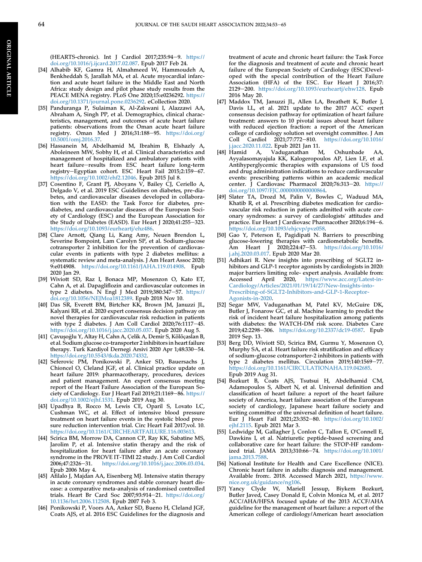(HEARTS-chronic). Int J Cardiol 2017;235:94-9. [https://](https://doi.org/10.1016/j.ijcard.2017.02.087) [doi.org/10.1016/j.ijcard.2017.02.087](https://doi.org/10.1016/j.ijcard.2017.02.087). Epub 2017 Feb 24.

- [34] Alhabib KF, Gamra H, Almahmeed W, Hammoudeh A, Benkheddah S, Jarallah MA, et al. Acute myocardial infarction and acute heart failure in the Middle East and North Africa: study design and pilot phase study results from the PEACE MENA registry. PLoS One 2020;15:e0236292. [https://](https://doi.org/10.1371/journal.pone.0236292) [doi.org/10.1371/journal.pone.0236292.](https://doi.org/10.1371/journal.pone.0236292) eCollection 2020.
- [35] Panduranga P, Sulaiman K, Al-Zakwani I, Alazzawi AA, Abraham A, Singh PP, et al. Demographics, clinical characteristics, management, and outcomes of acute heart failure patients: observations from the Oman acute heart failure registry. Oman Med J 2016;31:188-95. [https://doi.org/](https://doi.org/10.5001/omj.2016.37) [10.5001/omj.2016.37](https://doi.org/10.5001/omj.2016.37).
- [36] Hassanein M, Abdelhamid M, Ibrahim B, Elshazly A, Aboleineen MW, Sobhy H, et al. Clinical characteristics and management of hospitalized and ambulatory patients with heart failure-results from ESC heart failure long-term registry-Egyptian cohort. ESC Heart Fail 2015;2:159-67. [https://doi.org/10.1002/ehf2.12046.](https://doi.org/10.1002/ehf2.12046) Epub 2015 Jul 8.
- <span id="page-12-0"></span>[37] Cosentino F, Grant PJ, Aboyans V, Bailey CJ, Ceriello A, Delgado V, et al. 2019 ESC Guidelines on diabetes, pre-diabetes, and cardiovascular diseases developed in collaboration with the EASD: the Task Force for diabetes, prediabetes, and cardiovascular diseases of the European Society of Cardiology (ESC) and the European Association for the Study of Diabetes (EASD). Eur Heart J 2020;41:255-323. <https://doi.org/10.1093/eurheartj/ehz486>.
- [38] Clare Arnott, Qiang Li, Kang Amy, Neuen Brendon L, Severine Bompoint, Lam Carolyn SP, et al. Sodium-glucose cotransporter 2 inhibition for the prevention of cardiovascular events in patients with type 2 diabetes mellitus: a systematic review and meta-analysis. J Am Heart Assoc 2020; 9:e014908. [https://doi.org/10.1161/JAHA.119.014908.](https://doi.org/10.1161/JAHA.119.014908) Epub 2020 Jan 29.
- [39] Wiviott SD, Raz I, Bonaca MP, Mosenzon O, Kato ET, Cahn A, et al. Dapagliflozin and cardiovascular outcomes in type 2 diabetes. N Engl J Med 2019;380:347-57. [https://](https://doi.org/10.1056/NEJMoa1812389) [doi.org/10.1056/NEJMoa1812389.](https://doi.org/10.1056/NEJMoa1812389) Epub 2018 Nov 10.
- [40] Das SR, Everett BM, Birtcher KK, Brown JM, Januzzi JL, Kalyani RR, et al. 2020 expert consensus decision pathway on novel therapies for cardiovascular risk reduction in patients with type 2 diabetes. J Am Coll Cardiol  $2020;76:1117-45$ . <https://doi.org/10.1016/j.jacc.2020.05.037>. Epub 2020 Aug 5.
- [41] Çavuşoğlu Y, Altay H, Cahn A, Çelik A, Demir S, Kõlõçaslan B, et al. Sodium glucose co-transporter 2 inhibitors in heart failure therapy. Turk Kardiyol Dernegi Arsivi 2020 Apr 1;48:330-54. <https://doi.org/10.5543/tkda.2020.74332>.
- <span id="page-12-1"></span>[42] Seferovic PM, Ponikowski P, Anker SD, Bauersachs J, Chioncel O, Cleland JGF, et al. Clinical practice update on heart failure 2019: pharmacotherapy, procedures, devices and patient management. An expert consensus meeting report of the Heart Failure Association of the European Society of Cardiology. Eur J Heart Fail 2019;21:1169-86. [https://](https://doi.org/10.1002/ejhf.1531) [doi.org/10.1002/ejhf.1531.](https://doi.org/10.1002/ejhf.1531) Epub 2019 Aug 30.
- <span id="page-12-2"></span>[43] Upadhya B, Rocco M, Lewis CE, Oparil S, Lovato LC, Cushman WC, et al. Effect of intensive blood pressure treatment on heart failure events in the systolic blood pressure reduction intervention trial. Circ Heart Fail 2017;vol. 10. <https://doi.org/10.1161/CIRCHEARTFAILURE.116.003613>.
- <span id="page-12-3"></span>[44] Scirica BM, Morrow DA, Cannon CP, Ray KK, Sabatine MS, Jarolim P, et al. Intensive statin therapy and the risk of hospitalization for heart failure after an acute coronary syndrome in the PROVE IT-TIMI 22 study. J Am Coll Cardiol 2006;47:2326-31. <https://doi.org/10.1016/j.jacc.2006.03.034>. Epub 2006 May 4.
- <span id="page-12-4"></span>[45] Afilalo J, Majdan AA, Eisenberg MJ. Intensive statin therapy in acute coronary syndromes and stable coronary heart disease: a comparative meta-analysis of randomised controlled trials. Heart Br Card Soc  $2007;93:914-21$ . [https://doi.org/](https://doi.org/10.1136/hrt.2006.112508) [10.1136/hrt.2006.112508](https://doi.org/10.1136/hrt.2006.112508). Epub 2007 Feb 3.
- <span id="page-12-5"></span>[46] Ponikowski P, Voors AA, Anker SD, Bueno H, Cleland JGF, Coats AJS, et al. 2016 ESC Guidelines for the diagnosis and

treatment of acute and chronic heart failure: the Task Force for the diagnosis and treatment of acute and chronic heart failure of the European Society of Cardiology (ESC)Developed with the special contribution of the Heart Failure Association (HFA) of the ESC. Eur Heart J 2016;37: 2129-200. [https://doi.org/10.1093/eurheartj/ehw128.](https://doi.org/10.1093/eurheartj/ehw128) Epub 2016 May 20.

- <span id="page-12-6"></span>[47] Maddox TM, Januzzi JL, Allen LA, Breathett K, Butler J, Davis LL, et al. 2021 update to the 2017 ACC expert consensus decision pathway for optimization of heart failure treatment: answers to 10 pivotal issues about heart failure with reduced ejection fraction: a report of the American college of cardiology solution set oversight committee. J Am<br>Coll Cardiol 2021;77:772-810. https://doi.org/10.1016/ Cardiol 2021;77:772-810. [https://doi.org/10.1016/](https://doi.org/10.1016/j.jacc.2020.11.022) [j.jacc.2020.11.022.](https://doi.org/10.1016/j.jacc.2020.11.022) Epub 2021 Jan 11.
- <span id="page-12-7"></span>[48] Hamid A, Vaduganathan M, Oshunbade AA, Ayyalasomayajula KK, Kalogeropoulos AP, Lien LF, et al. Antihyperglycemic therapies with expansions of US food and drug administration indications to reduce cardiovascular events: prescribing patterns within an academic medical center. J Cardiovasc Pharmacol 2020;76:313-20. [https://](https://doi.org/10.1097/FJC.0000000000000864) [doi.org/10.1097/FJC.0000000000000864](https://doi.org/10.1097/FJC.0000000000000864).
- <span id="page-12-8"></span>[49] Slater TA, Drozd M, Palin V, Bowles C, Waduud MA, Khatib R, et al. Prescribing diabetes medication for cardiovascular risk reduction in patients admitted with acute coronary syndromes: a survey of cardiologists' attitudes and practice. Eur Heart J Cardiovasc Pharmacother 2020;6:194-6. <https://doi.org/10.1093/ehjcvp/pvz058>.
- <span id="page-12-9"></span>[50] Gao Y, Peterson E, Pagidipati N. Barriers to prescribing glucose-lowering therapies with cardiometabolic benefits.<br>Am Heart J 2020;224:47-53. https://doi.org/10.1016/ 2020;224:47-53. [https://doi.org/10.1016/](https://doi.org/10.1016/j.ahj.2020.03.017) [j.ahj.2020.03.017](https://doi.org/10.1016/j.ahj.2020.03.017). Epub 2020 Mar 20.
- <span id="page-12-10"></span>[51] Adhikari R. New insights into prescribing of SGLT2 inhibitors and GLP-1 receptor agonists by cardiologists in 2020: major barriers limiting role- expert analysis. Available from: Accessed April 2020, [https://www.acc.org/Latest-in-](https://www.acc.org/Latest-in-Cardiology/Articles/2021/01/19/14/27/New-Insights-into-Prescribing-of-SGLT2-Inhibitors-and-GLP-1-Receptor-Agonists-in-2020)[Cardiology/Articles/2021/01/19/14/27/New-Insights-into-](https://www.acc.org/Latest-in-Cardiology/Articles/2021/01/19/14/27/New-Insights-into-Prescribing-of-SGLT2-Inhibitors-and-GLP-1-Receptor-Agonists-in-2020)[Prescribing-of-SGLT2-Inhibitors-and-GLP-1-Receptor-](https://www.acc.org/Latest-in-Cardiology/Articles/2021/01/19/14/27/New-Insights-into-Prescribing-of-SGLT2-Inhibitors-and-GLP-1-Receptor-Agonists-in-2020)[Agonists-in-2020.](https://www.acc.org/Latest-in-Cardiology/Articles/2021/01/19/14/27/New-Insights-into-Prescribing-of-SGLT2-Inhibitors-and-GLP-1-Receptor-Agonists-in-2020)
- <span id="page-12-11"></span>[52] Segar MW, Vaduganathan M, Patel KV, McGuire DK, Butler J, Fonarow GC, et al. Machine learning to predict the risk of incident heart failure hospitalization among patients with diabetes: the WATCH-DM risk score. Diabetes Care 2019;42:2298-306. <https://doi.org/10.2337/dc19-0587>. Epub 2019 Sep. 13.
- <span id="page-12-12"></span>[53] Berg DD, Wiviott SD, Scirica BM, Gurmu Y, Mosenzon O, Murphy SA, et al. Heart failure risk stratification and efficacy of sodium-glucose cotransporter-2 inhibitors in patients with type 2 diabetes mellitus. Circulation  $2019,140:1569-77$ . [https://doi.org/10.1161/CIRCULATIONAHA.119.042685.](https://doi.org/10.1161/CIRCULATIONAHA.119.042685) Epub 2019 Aug 31.
- <span id="page-12-13"></span>[54] Bozkurt B, Coats AJS, Tsutsui H, Abdelhamid CM, Adamopoulos S, Albert N, et al. Universal definition and classification of heart failure: a report of the heart failure society of America, heart failure association of the European society of cardiology, Japanese heart failure society and writing committee of the universal definition of heart failure. Eur J Heart Fail 2021;23:352-80. [https://doi.org/10.1002/](https://doi.org/10.1002/ejhf.2115) [ejhf.2115.](https://doi.org/10.1002/ejhf.2115) Epub 2021 Mar 3.
- <span id="page-12-14"></span>[55] Ledwidge M, Gallagher J, Conlon C, Tallon E, O'Connell E, Dawkins I, et al. Natriuretic peptide-based screening and collaborative care for heart failure: the STOP-HF randomized trial. JAMA 2013;310:66-74. [https://doi.org/10.1001/](https://doi.org/10.1001/jama.2013.7588) [jama.2013.7588](https://doi.org/10.1001/jama.2013.7588).
- <span id="page-12-15"></span>[56] National Institute for Health and Care Excellence (NICE). Chronic heart failure in adults: diagnosis and management. Available from:. 2018. Accessed March 2021, [https://www.](https://www.nice.org.uk/guidance/ng106) [nice.org.uk/guidance/ng106](https://www.nice.org.uk/guidance/ng106).
- <span id="page-12-16"></span>[57] Yancy Clyde W, Mariell Jessup, Biykem Bozkurt, Butler Javed, Casey Donald E, Colvin Monica M, et al. 2017 ACC/AHA/HFSA focused update of the 2013 ACCF/AHA guideline for the management of heart failure: a report of the American college of cardiology/American heart association